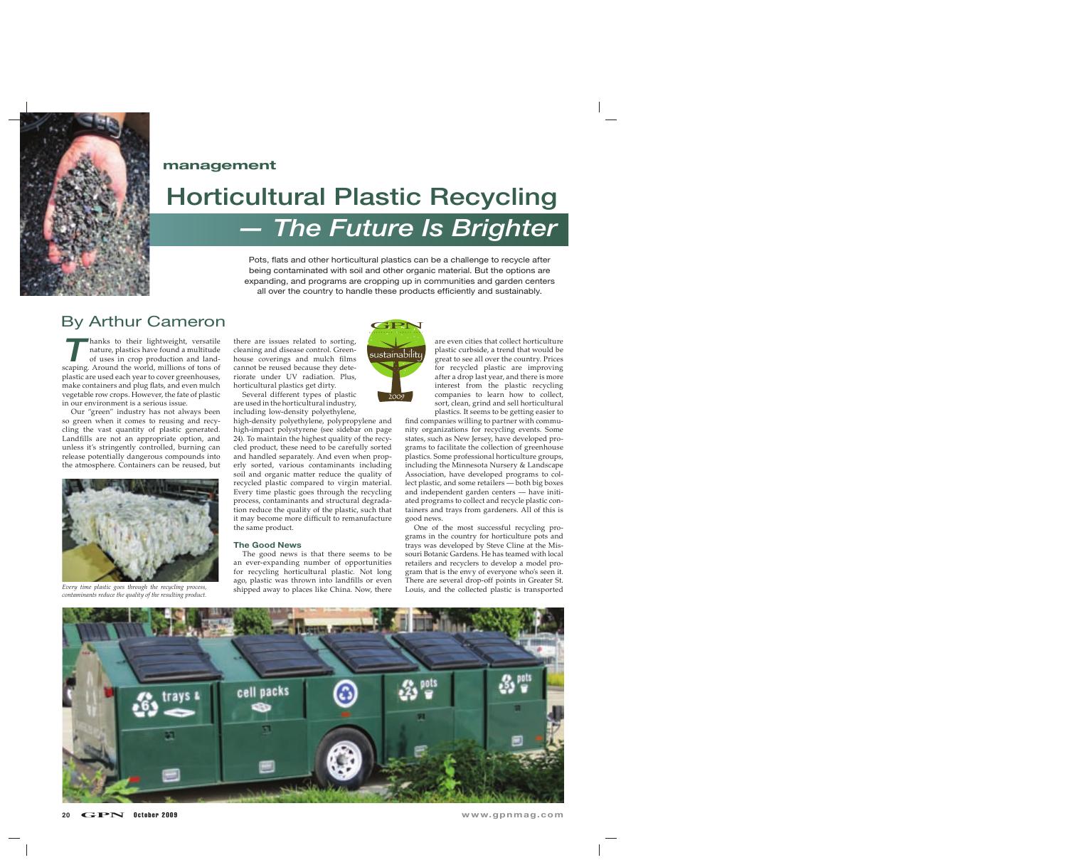

### **management**

# **Horticultural Plastic Recycling**

**The Future Is Brighter** 

Pots, flats and other horticultural plastics can be a challenge to recycle after being contaminated with soil and other organic material. But the options are expanding, and programs are cropping up in communities and garden centers all over the country to handle these products efficiently and sustainably.

### By Arthur Cameron

hanks to their lightweight, versatile<br>
nature, plastics have found a multitude<br>
of uses in crop production and landof uses in crop production and landscaping. Around the world, millions of tons of plastic are used each year to cover greenhouses, make containers and plug flats, and even mulch vegetable row crops. However, the fate of plastic in our environment is a serious issue.

Our "green" industry has not always been so green when it comes to reusing and recycling the vast quantity of plastic generated. Landfills are not an appropriate option, and unless it's stringently controlled, burning can release potentially dangerous compounds into the atmosphere. Containers can be reused, but



*contaminants reduce the quality of the resulting product.*

there are issues related to sorting, cleaning and disease control. Greenhouse coverings and mulch films cannot be reused because they deteriorate under UV radiation. Plus, horticultural plastics get dirty. Several different types of plastic

are used in the horticultural industry, including low-density polyethylene,

high-density polyethylene, polypropylene and high-impact polystyrene (see sidebar on page 24). To maintain the highest quality of the recycled product, these need to be carefully sorted and handled separately. And even when properly sorted, various contaminants including soil and organic matter reduce the quality of recycled plastic compared to virgin material. Every time plastic goes through the recycling process, contaminants and structural degradation reduce the quality of the plastic, such that it may become more difficult to remanufacture the same product.

### **The Good News**

The good news is that there seems to be an ever-expanding number of opportunities for recycling horticultural plastic. Not long ago, plastic was thrown into landfills or even Every time plastic goes through the recycling process, **Every time is a substantially constant of the collected** plastic is transported



are even cities that collect horticulture plastic curbside, a trend that would be great to see all over the country. Prices for recycled plastic are improving after a drop last year, and there is more interest from the plastic recycling companies to learn how to collect, sort, clean, grind and sell horticultural plastics. It seems to be getting easier to

find companies willing to partner with community organizations for recycling events. Some states, such as New Jersey, have developed programs to facilitate the collection of greenhouse plastics. Some professional horticulture groups, including the Minnesota Nursery & Landscape Association, have developed programs to collect plastic, and some retailers — both big boxes and independent garden centers — have initiated programs to collect and recycle plastic containers and trays from gardeners. All of this is good news.

One of the most successful recycling programs in the country for horticulture pots and trays was developed by Steve Cline at the Missouri Botanic Gardens. He has teamed with local retailers and recyclers to develop a model program that is the envy of everyone who's seen it. There are several drop-off points in Greater St.<br>Louis, and the collected plastic is transported

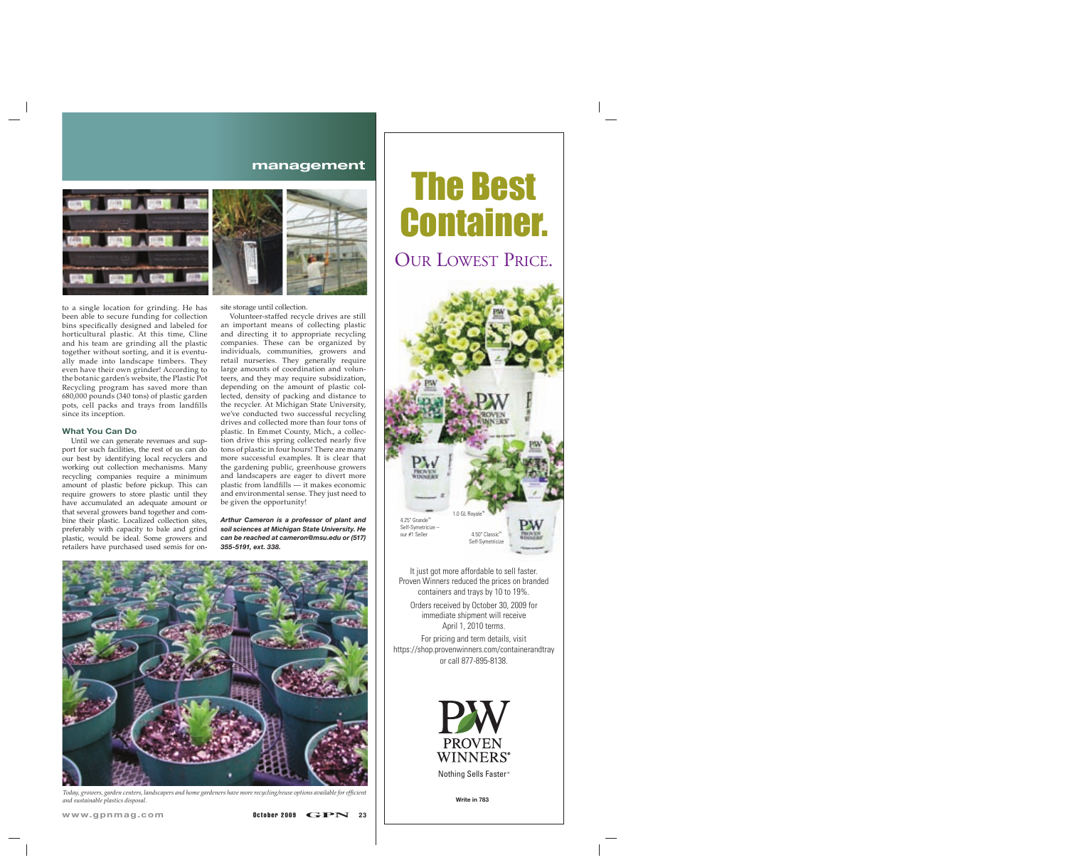### **management**



to a single location for grinding. He has been able to secure funding for collection bins specifically designed and labeled for horticultural plastic. At this time, Cline and his team are grinding all the plastic together without sorting, and it is eventually made into landscape timbers. They even have their own grinder! According to the botanic garden's website, the Plastic Pot Recycling program has saved more than 680,000 pounds (340 tons) of plastic garden pots, cell packs and trays from landfills since its inception.

#### **What You Can Do**

Until we can generate revenues and support for such facilities, the rest of us can do our best by identifying local recyclers and working out collection mechanisms. Many recycling companies require a minimum amount of plastic before pickup. This can require growers to store plastic until they have accumulated an adequate amount or that several growers band together and combine their plastic. Localized collection sites, preferably with capacity to bale and grind plastic, would be ideal. Some growers and retailers have purchased used semis for onsite storage until collection.

Volunteer-staffed recycle drives are still an important means of collecting plastic and directing it to appropriate recycling companies. These can be organized by individuals, communities, growers and retail nurseries. They generally require large amounts of coordination and volunteers, and they may require subsidization, depending on the amount of plastic collected, density of packing and distance to the recycler. At Michigan State University, we've conducted two successful recycling drives and collected more than four tons of plastic. In Emmet County, Mich., a collection drive this spring collected nearly five tons of plastic in four hours! There are many more successful examples. It is clear that the gardening public, greenhouse growers and landscapers are eager to divert more plastic from landfills  $-$  it makes economic and environmental sense. They just need to be given the opportunity!

*Arthur Cameron is a professor of plant and soil sciences at Michigan State University. He can be reached at cameron@msu.edu or (517) 355-5191, ext. 338.*



*Today, growers, garden centers, landscapers and home gardeners have more recycling/reuse options available for effi cient and sustainable plastics disposal.*



OUR LOWEST PRICE.



Proven Winners reduced the prices on branded containers and trays by 10 to 19%.

Orders received by October 30, 2009 for immediate shipment will receive April 1, 2010 terms.

For pricing and term details, visit https://shop.provenwinners.com/containerandtray or call 877-895-8138.



**Write in 783**

www.gpnmag.com **October 2009 GPN** 23